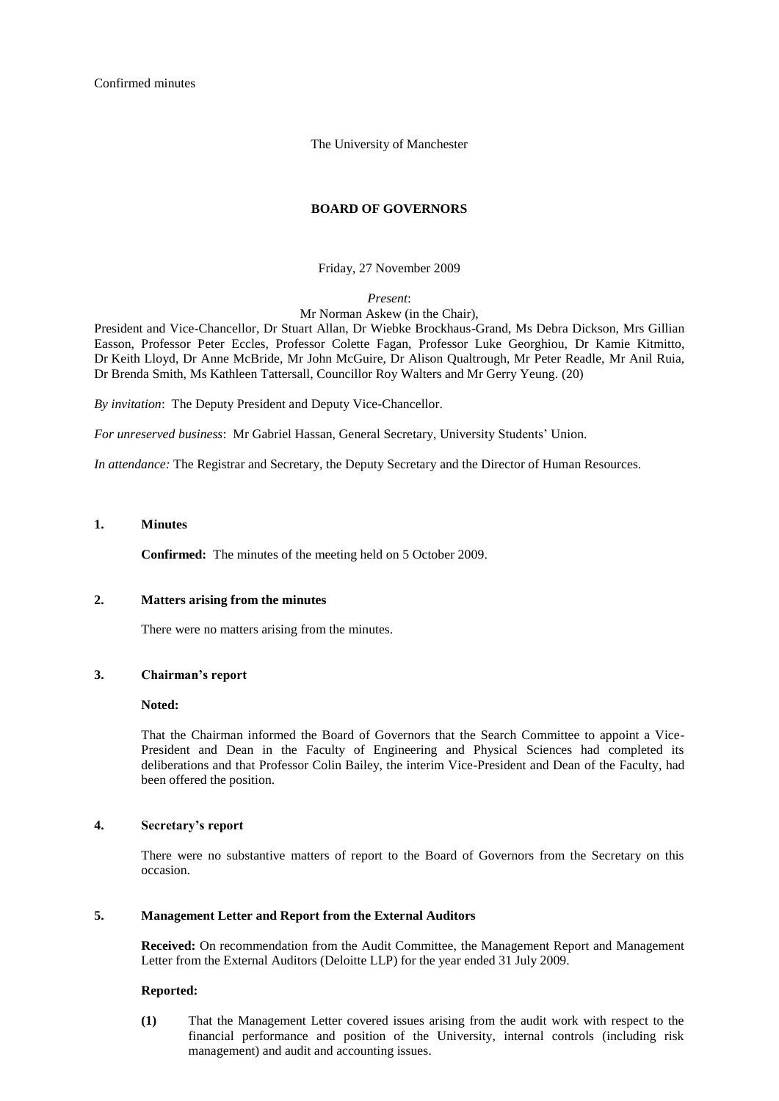Confirmed minutes

The University of Manchester

## **BOARD OF GOVERNORS**

Friday, 27 November 2009

*Present*:

Mr Norman Askew (in the Chair),

President and Vice-Chancellor, Dr Stuart Allan, Dr Wiebke Brockhaus-Grand, Ms Debra Dickson, Mrs Gillian Easson, Professor Peter Eccles, Professor Colette Fagan, Professor Luke Georghiou, Dr Kamie Kitmitto, Dr Keith Lloyd, Dr Anne McBride, Mr John McGuire, Dr Alison Qualtrough, Mr Peter Readle, Mr Anil Ruia, Dr Brenda Smith, Ms Kathleen Tattersall, Councillor Roy Walters and Mr Gerry Yeung. (20)

*By invitation*: The Deputy President and Deputy Vice-Chancellor.

*For unreserved business*: Mr Gabriel Hassan, General Secretary, University Students' Union.

*In attendance:* The Registrar and Secretary, the Deputy Secretary and the Director of Human Resources.

## **1. Minutes**

**Confirmed:** The minutes of the meeting held on 5 October 2009.

### **2. Matters arising from the minutes**

There were no matters arising from the minutes.

### **3. Chairman's report**

#### **Noted:**

That the Chairman informed the Board of Governors that the Search Committee to appoint a Vice-President and Dean in the Faculty of Engineering and Physical Sciences had completed its deliberations and that Professor Colin Bailey, the interim Vice-President and Dean of the Faculty, had been offered the position.

## **4. Secretary's report**

There were no substantive matters of report to the Board of Governors from the Secretary on this occasion.

### **5. Management Letter and Report from the External Auditors**

**Received:** On recommendation from the Audit Committee, the Management Report and Management Letter from the External Auditors (Deloitte LLP) for the year ended 31 July 2009.

#### **Reported:**

**(1)** That the Management Letter covered issues arising from the audit work with respect to the financial performance and position of the University, internal controls (including risk management) and audit and accounting issues.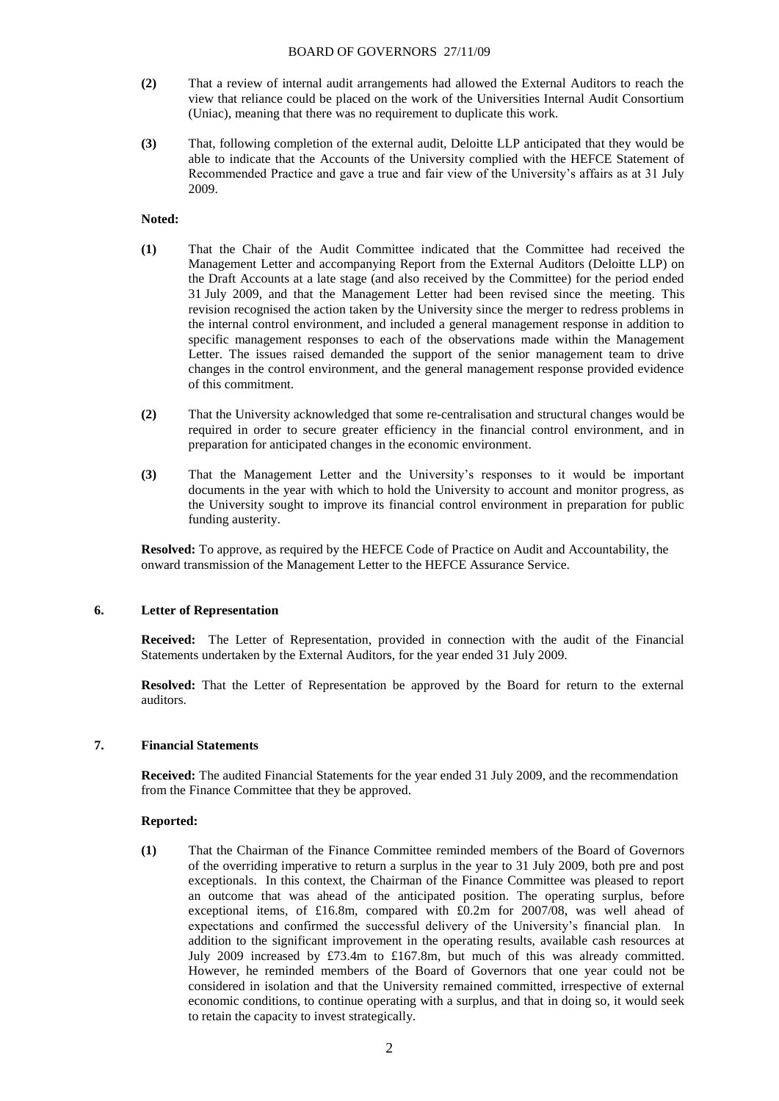- **(2)** That a review of internal audit arrangements had allowed the External Auditors to reach the view that reliance could be placed on the work of the Universities Internal Audit Consortium (Uniac), meaning that there was no requirement to duplicate this work.
- **(3)** That, following completion of the external audit, Deloitte LLP anticipated that they would be able to indicate that the Accounts of the University complied with the HEFCE Statement of Recommended Practice and gave a true and fair view of the University's affairs as at 31 July 2009.

## **Noted:**

- **(1)** That the Chair of the Audit Committee indicated that the Committee had received the Management Letter and accompanying Report from the External Auditors (Deloitte LLP) on the Draft Accounts at a late stage (and also received by the Committee) for the period ended 31 July 2009, and that the Management Letter had been revised since the meeting. This revision recognised the action taken by the University since the merger to redress problems in the internal control environment, and included a general management response in addition to specific management responses to each of the observations made within the Management Letter. The issues raised demanded the support of the senior management team to drive changes in the control environment, and the general management response provided evidence of this commitment.
- **(2)** That the University acknowledged that some re-centralisation and structural changes would be required in order to secure greater efficiency in the financial control environment, and in preparation for anticipated changes in the economic environment.
- **(3)** That the Management Letter and the University's responses to it would be important documents in the year with which to hold the University to account and monitor progress, as the University sought to improve its financial control environment in preparation for public funding austerity.

**Resolved:** To approve, as required by the HEFCE Code of Practice on Audit and Accountability, the onward transmission of the Management Letter to the HEFCE Assurance Service.

### **6. Letter of Representation**

**Received:** The Letter of Representation, provided in connection with the audit of the Financial Statements undertaken by the External Auditors, for the year ended 31 July 2009.

**Resolved:** That the Letter of Representation be approved by the Board for return to the external auditors.

## **7. Financial Statements**

**Received:** The audited Financial Statements for the year ended 31 July 2009, and the recommendation from the Finance Committee that they be approved.

### **Reported:**

**(1)** That the Chairman of the Finance Committee reminded members of the Board of Governors of the overriding imperative to return a surplus in the year to 31 July 2009, both pre and post exceptionals. In this context, the Chairman of the Finance Committee was pleased to report an outcome that was ahead of the anticipated position. The operating surplus, before exceptional items, of £16.8m, compared with £0.2m for 2007/08, was well ahead of expectations and confirmed the successful delivery of the University's financial plan. In addition to the significant improvement in the operating results, available cash resources at July 2009 increased by £73.4m to £167.8m, but much of this was already committed. However, he reminded members of the Board of Governors that one year could not be considered in isolation and that the University remained committed, irrespective of external economic conditions, to continue operating with a surplus, and that in doing so, it would seek to retain the capacity to invest strategically.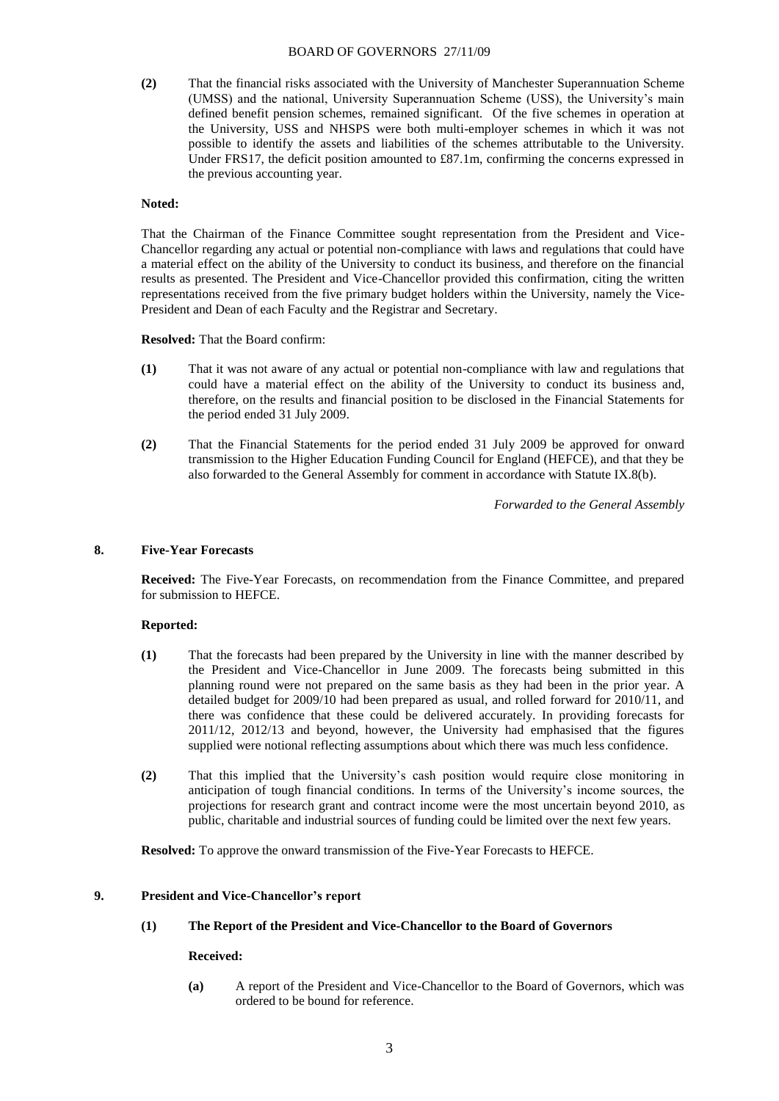**(2)** That the financial risks associated with the University of Manchester Superannuation Scheme (UMSS) and the national, University Superannuation Scheme (USS), the University's main defined benefit pension schemes, remained significant. Of the five schemes in operation at the University, USS and NHSPS were both multi-employer schemes in which it was not possible to identify the assets and liabilities of the schemes attributable to the University. Under FRS17, the deficit position amounted to £87.1m, confirming the concerns expressed in the previous accounting year.

## **Noted:**

That the Chairman of the Finance Committee sought representation from the President and Vice-Chancellor regarding any actual or potential non-compliance with laws and regulations that could have a material effect on the ability of the University to conduct its business, and therefore on the financial results as presented. The President and Vice-Chancellor provided this confirmation, citing the written representations received from the five primary budget holders within the University, namely the Vice-President and Dean of each Faculty and the Registrar and Secretary.

**Resolved:** That the Board confirm:

- **(1)** That it was not aware of any actual or potential non-compliance with law and regulations that could have a material effect on the ability of the University to conduct its business and, therefore, on the results and financial position to be disclosed in the Financial Statements for the period ended 31 July 2009.
- **(2)** That the Financial Statements for the period ended 31 July 2009 be approved for onward transmission to the Higher Education Funding Council for England (HEFCE), and that they be also forwarded to the General Assembly for comment in accordance with Statute IX.8(b).

*Forwarded to the General Assembly*

## **8. Five-Year Forecasts**

**Received:** The Five-Year Forecasts, on recommendation from the Finance Committee, and prepared for submission to HEFCE.

# **Reported:**

- **(1)** That the forecasts had been prepared by the University in line with the manner described by the President and Vice-Chancellor in June 2009. The forecasts being submitted in this planning round were not prepared on the same basis as they had been in the prior year. A detailed budget for 2009/10 had been prepared as usual, and rolled forward for 2010/11, and there was confidence that these could be delivered accurately. In providing forecasts for 2011/12, 2012/13 and beyond, however, the University had emphasised that the figures supplied were notional reflecting assumptions about which there was much less confidence.
- **(2)** That this implied that the University's cash position would require close monitoring in anticipation of tough financial conditions. In terms of the University's income sources, the projections for research grant and contract income were the most uncertain beyond 2010, as public, charitable and industrial sources of funding could be limited over the next few years.

**Resolved:** To approve the onward transmission of the Five-Year Forecasts to HEFCE.

## **9. President and Vice-Chancellor's report**

## **(1) The Report of the President and Vice-Chancellor to the Board of Governors**

### **Received:**

**(a)** A report of the President and Vice-Chancellor to the Board of Governors, which was ordered to be bound for reference.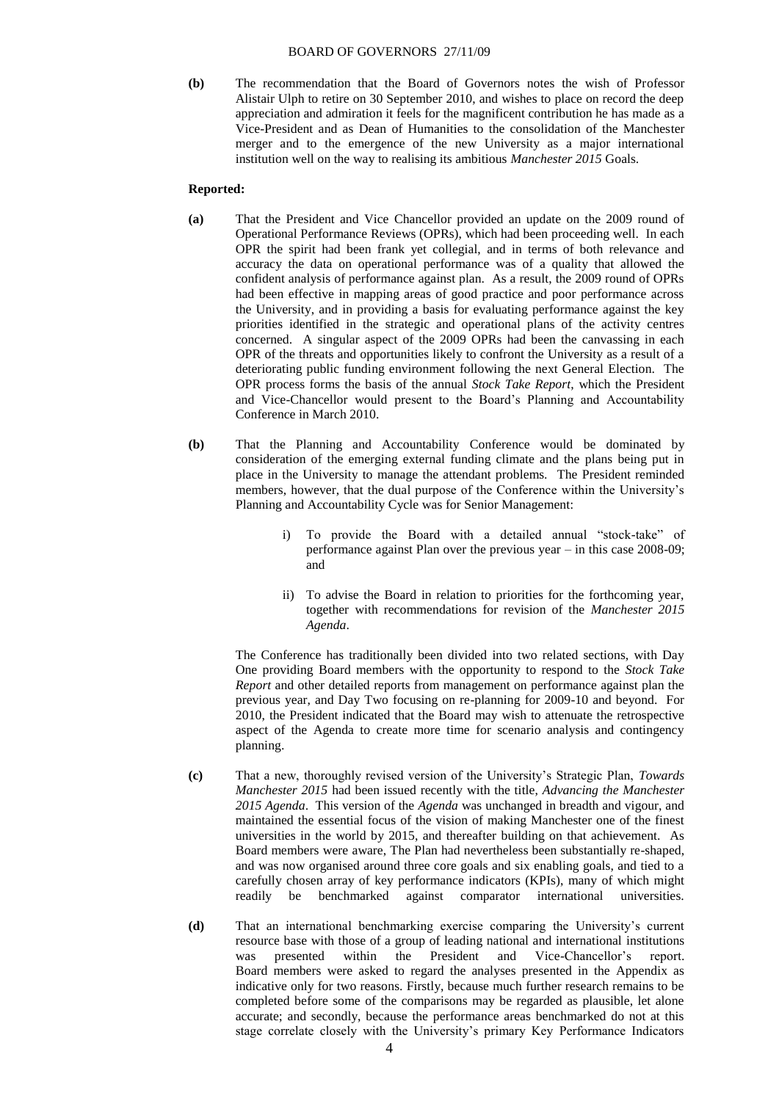**(b)** The recommendation that the Board of Governors notes the wish of Professor Alistair Ulph to retire on 30 September 2010, and wishes to place on record the deep appreciation and admiration it feels for the magnificent contribution he has made as a Vice-President and as Dean of Humanities to the consolidation of the Manchester merger and to the emergence of the new University as a major international institution well on the way to realising its ambitious *Manchester 2015* Goals.

# **Reported:**

- **(a)** That the President and Vice Chancellor provided an update on the 2009 round of Operational Performance Reviews (OPRs), which had been proceeding well. In each OPR the spirit had been frank yet collegial, and in terms of both relevance and accuracy the data on operational performance was of a quality that allowed the confident analysis of performance against plan. As a result, the 2009 round of OPRs had been effective in mapping areas of good practice and poor performance across the University, and in providing a basis for evaluating performance against the key priorities identified in the strategic and operational plans of the activity centres concerned. A singular aspect of the 2009 OPRs had been the canvassing in each OPR of the threats and opportunities likely to confront the University as a result of a deteriorating public funding environment following the next General Election. The OPR process forms the basis of the annual *Stock Take Report*, which the President and Vice-Chancellor would present to the Board's Planning and Accountability Conference in March 2010.
- **(b)** That the Planning and Accountability Conference would be dominated by consideration of the emerging external funding climate and the plans being put in place in the University to manage the attendant problems. The President reminded members, however, that the dual purpose of the Conference within the University's Planning and Accountability Cycle was for Senior Management:
	- i) To provide the Board with a detailed annual "stock-take" of performance against Plan over the previous year – in this case 2008-09; and
	- ii) To advise the Board in relation to priorities for the forthcoming year, together with recommendations for revision of the *Manchester 2015 Agenda*.

The Conference has traditionally been divided into two related sections, with Day One providing Board members with the opportunity to respond to the *Stock Take Report* and other detailed reports from management on performance against plan the previous year, and Day Two focusing on re-planning for 2009-10 and beyond. For 2010, the President indicated that the Board may wish to attenuate the retrospective aspect of the Agenda to create more time for scenario analysis and contingency planning.

- **(c)** That a new, thoroughly revised version of the University's Strategic Plan, *Towards Manchester 2015* had been issued recently with the title, *Advancing the Manchester 2015 Agenda*. This version of the *Agenda* was unchanged in breadth and vigour, and maintained the essential focus of the vision of making Manchester one of the finest universities in the world by 2015, and thereafter building on that achievement. As Board members were aware, The Plan had nevertheless been substantially re-shaped, and was now organised around three core goals and six enabling goals, and tied to a carefully chosen array of key performance indicators (KPIs), many of which might readily be benchmarked against comparator international universities.
- **(d)** That an international benchmarking exercise comparing the University's current resource base with those of a group of leading national and international institutions was presented within the President and Vice-Chancellor's report. Board members were asked to regard the analyses presented in the Appendix as indicative only for two reasons. Firstly, because much further research remains to be completed before some of the comparisons may be regarded as plausible, let alone accurate; and secondly, because the performance areas benchmarked do not at this stage correlate closely with the University's primary Key Performance Indicators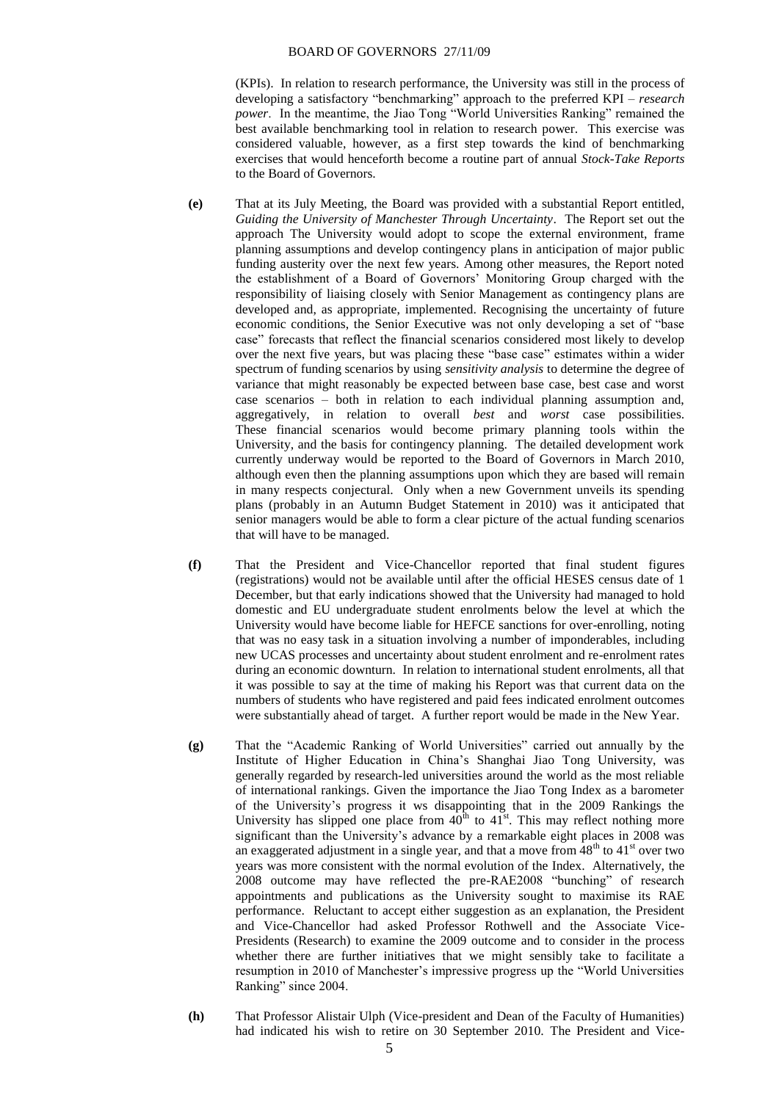(KPIs). In relation to research performance, the University was still in the process of developing a satisfactory "benchmarking" approach to the preferred KPI – *research power*. In the meantime, the Jiao Tong "World Universities Ranking" remained the best available benchmarking tool in relation to research power. This exercise was considered valuable, however, as a first step towards the kind of benchmarking exercises that would henceforth become a routine part of annual *Stock-Take Reports* to the Board of Governors.

- **(e)** That at its July Meeting, the Board was provided with a substantial Report entitled, *Guiding the University of Manchester Through Uncertainty*. The Report set out the approach The University would adopt to scope the external environment, frame planning assumptions and develop contingency plans in anticipation of major public funding austerity over the next few years. Among other measures, the Report noted the establishment of a Board of Governors' Monitoring Group charged with the responsibility of liaising closely with Senior Management as contingency plans are developed and, as appropriate, implemented. Recognising the uncertainty of future economic conditions, the Senior Executive was not only developing a set of "base case" forecasts that reflect the financial scenarios considered most likely to develop over the next five years, but was placing these "base case" estimates within a wider spectrum of funding scenarios by using *sensitivity analysis* to determine the degree of variance that might reasonably be expected between base case, best case and worst case scenarios – both in relation to each individual planning assumption and, aggregatively, in relation to overall *best* and *worst* case possibilities. These financial scenarios would become primary planning tools within the University, and the basis for contingency planning. The detailed development work currently underway would be reported to the Board of Governors in March 2010, although even then the planning assumptions upon which they are based will remain in many respects conjectural. Only when a new Government unveils its spending plans (probably in an Autumn Budget Statement in 2010) was it anticipated that senior managers would be able to form a clear picture of the actual funding scenarios that will have to be managed.
- **(f)** That the President and Vice-Chancellor reported that final student figures (registrations) would not be available until after the official HESES census date of 1 December, but that early indications showed that the University had managed to hold domestic and EU undergraduate student enrolments below the level at which the University would have become liable for HEFCE sanctions for over-enrolling, noting that was no easy task in a situation involving a number of imponderables, including new UCAS processes and uncertainty about student enrolment and re-enrolment rates during an economic downturn. In relation to international student enrolments, all that it was possible to say at the time of making his Report was that current data on the numbers of students who have registered and paid fees indicated enrolment outcomes were substantially ahead of target. A further report would be made in the New Year.
- **(g)** That the "Academic Ranking of World Universities" carried out annually by the Institute of Higher Education in China's Shanghai Jiao Tong University, was generally regarded by research-led universities around the world as the most reliable of international rankings. Given the importance the Jiao Tong Index as a barometer of the University's progress it ws disappointing that in the 2009 Rankings the University has slipped one place from  $40^{th}$  to  $41^{st}$ . This may reflect nothing more significant than the University's advance by a remarkable eight places in 2008 was an exaggerated adjustment in a single year, and that a move from  $48<sup>th</sup>$  to  $41<sup>st</sup>$  over two years was more consistent with the normal evolution of the Index. Alternatively, the 2008 outcome may have reflected the pre-RAE2008 "bunching" of research appointments and publications as the University sought to maximise its RAE performance. Reluctant to accept either suggestion as an explanation, the President and Vice-Chancellor had asked Professor Rothwell and the Associate Vice-Presidents (Research) to examine the 2009 outcome and to consider in the process whether there are further initiatives that we might sensibly take to facilitate a resumption in 2010 of Manchester's impressive progress up the "World Universities Ranking" since 2004.
- **(h)** That Professor Alistair Ulph (Vice-president and Dean of the Faculty of Humanities) had indicated his wish to retire on 30 September 2010. The President and Vice-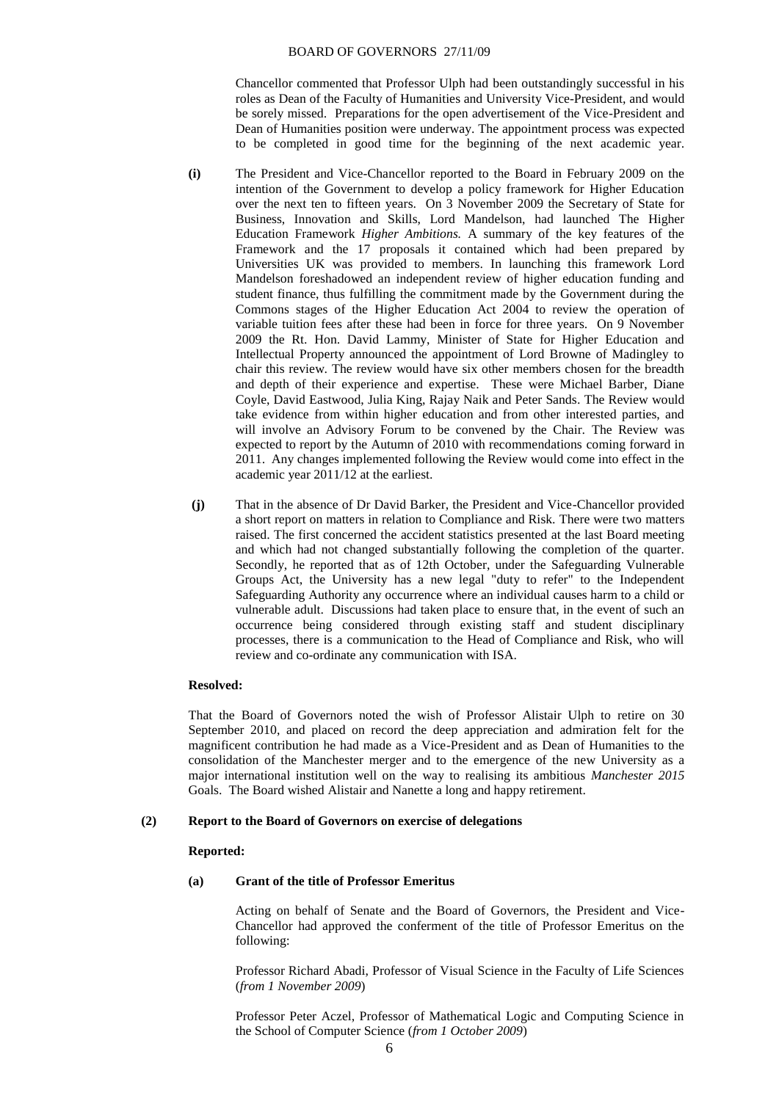Chancellor commented that Professor Ulph had been outstandingly successful in his roles as Dean of the Faculty of Humanities and University Vice-President, and would be sorely missed. Preparations for the open advertisement of the Vice-President and Dean of Humanities position were underway. The appointment process was expected to be completed in good time for the beginning of the next academic year.

- **(i)** The President and Vice-Chancellor reported to the Board in February 2009 on the intention of the Government to develop a policy framework for Higher Education over the next ten to fifteen years. On 3 November 2009 the Secretary of State for Business, Innovation and Skills, Lord Mandelson, had launched The Higher Education Framework *Higher Ambitions.* A summary of the key features of the Framework and the 17 proposals it contained which had been prepared by Universities UK was provided to members. In launching this framework Lord Mandelson foreshadowed an independent review of higher education funding and student finance, thus fulfilling the commitment made by the Government during the Commons stages of the Higher Education Act 2004 to review the operation of variable tuition fees after these had been in force for three years. On 9 November 2009 the Rt. Hon. David Lammy, Minister of State for Higher Education and Intellectual Property announced the appointment of Lord Browne of Madingley to chair this review. The review would have six other members chosen for the breadth and depth of their experience and expertise. These were Michael Barber, Diane Coyle, David Eastwood, Julia King, Rajay Naik and Peter Sands. The Review would take evidence from within higher education and from other interested parties, and will involve an Advisory Forum to be convened by the Chair. The Review was expected to report by the Autumn of 2010 with recommendations coming forward in 2011. Any changes implemented following the Review would come into effect in the academic year 2011/12 at the earliest.
- **(j)** That in the absence of Dr David Barker, the President and Vice-Chancellor provided a short report on matters in relation to Compliance and Risk. There were two matters raised. The first concerned the accident statistics presented at the last Board meeting and which had not changed substantially following the completion of the quarter. Secondly, he reported that as of 12th October, under the Safeguarding Vulnerable Groups Act, the University has a new legal "duty to refer" to the Independent Safeguarding Authority any occurrence where an individual causes harm to a child or vulnerable adult. Discussions had taken place to ensure that, in the event of such an occurrence being considered through existing staff and student disciplinary processes, there is a communication to the Head of Compliance and Risk, who will review and co-ordinate any communication with ISA.

### **Resolved:**

That the Board of Governors noted the wish of Professor Alistair Ulph to retire on 30 September 2010, and placed on record the deep appreciation and admiration felt for the magnificent contribution he had made as a Vice-President and as Dean of Humanities to the consolidation of the Manchester merger and to the emergence of the new University as a major international institution well on the way to realising its ambitious *Manchester 2015* Goals. The Board wished Alistair and Nanette a long and happy retirement.

### **(2) Report to the Board of Governors on exercise of delegations**

### **Reported:**

## **(a) Grant of the title of Professor Emeritus**

Acting on behalf of Senate and the Board of Governors, the President and Vice-Chancellor had approved the conferment of the title of Professor Emeritus on the following:

Professor Richard Abadi, Professor of Visual Science in the Faculty of Life Sciences (*from 1 November 2009*)

Professor Peter Aczel, Professor of Mathematical Logic and Computing Science in the School of Computer Science (*from 1 October 2009*)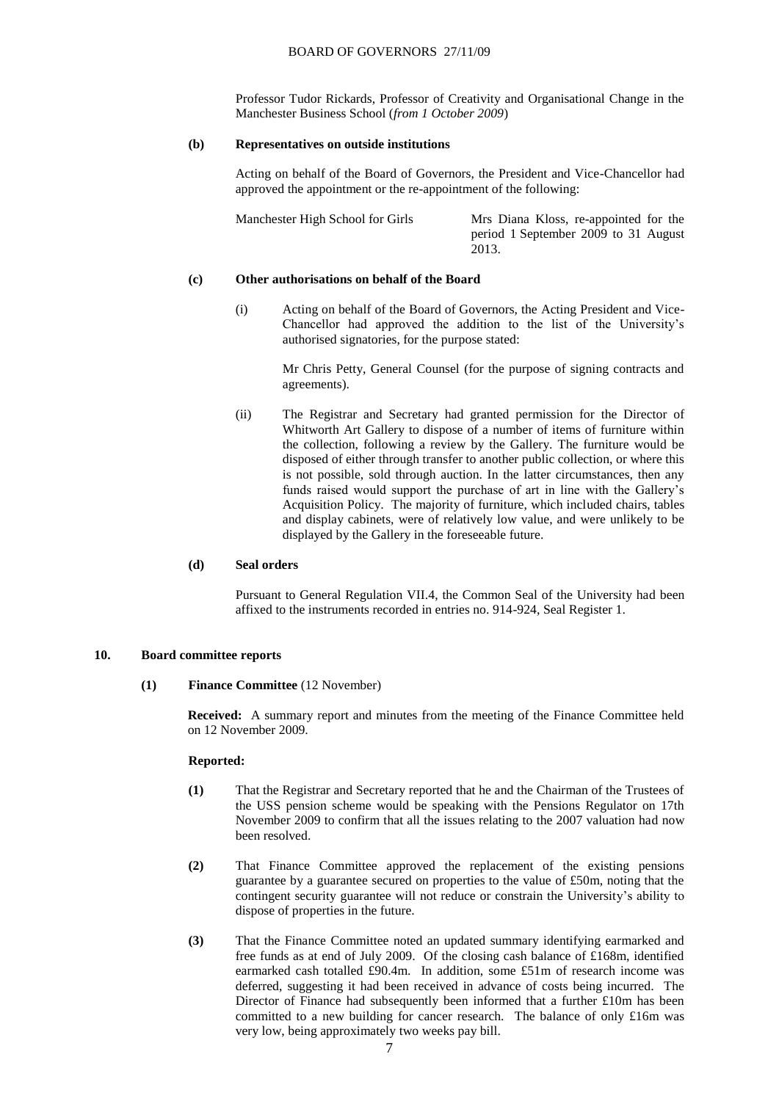Professor Tudor Rickards, Professor of Creativity and Organisational Change in the Manchester Business School (*from 1 October 2009*)

#### **(b) Representatives on outside institutions**

Acting on behalf of the Board of Governors, the President and Vice-Chancellor had approved the appointment or the re-appointment of the following:

Manchester High School for Girls Mrs Diana Kloss, re-appointed for the period 1 September 2009 to 31 August 2013.

## **(c) Other authorisations on behalf of the Board**

(i) Acting on behalf of the Board of Governors, the Acting President and Vice-Chancellor had approved the addition to the list of the University's authorised signatories, for the purpose stated:

> Mr Chris Petty, General Counsel (for the purpose of signing contracts and agreements).

(ii) The Registrar and Secretary had granted permission for the Director of Whitworth Art Gallery to dispose of a number of items of furniture within the collection, following a review by the Gallery. The furniture would be disposed of either through transfer to another public collection, or where this is not possible, sold through auction. In the latter circumstances, then any funds raised would support the purchase of art in line with the Gallery's Acquisition Policy. The majority of furniture, which included chairs, tables and display cabinets, were of relatively low value, and were unlikely to be displayed by the Gallery in the foreseeable future.

## **(d) Seal orders**

Pursuant to General Regulation VII.4, the Common Seal of the University had been affixed to the instruments recorded in entries no. 914-924, Seal Register 1.

## **10. Board committee reports**

**(1) Finance Committee** (12 November)

**Received:** A summary report and minutes from the meeting of the Finance Committee held on 12 November 2009.

#### **Reported:**

- **(1)** That the Registrar and Secretary reported that he and the Chairman of the Trustees of the USS pension scheme would be speaking with the Pensions Regulator on 17th November 2009 to confirm that all the issues relating to the 2007 valuation had now been resolved.
- **(2)** That Finance Committee approved the replacement of the existing pensions guarantee by a guarantee secured on properties to the value of £50m, noting that the contingent security guarantee will not reduce or constrain the University's ability to dispose of properties in the future.
- **(3)** That the Finance Committee noted an updated summary identifying earmarked and free funds as at end of July 2009. Of the closing cash balance of £168m, identified earmarked cash totalled £90.4m. In addition, some £51m of research income was deferred, suggesting it had been received in advance of costs being incurred. The Director of Finance had subsequently been informed that a further £10m has been committed to a new building for cancer research. The balance of only £16m was very low, being approximately two weeks pay bill.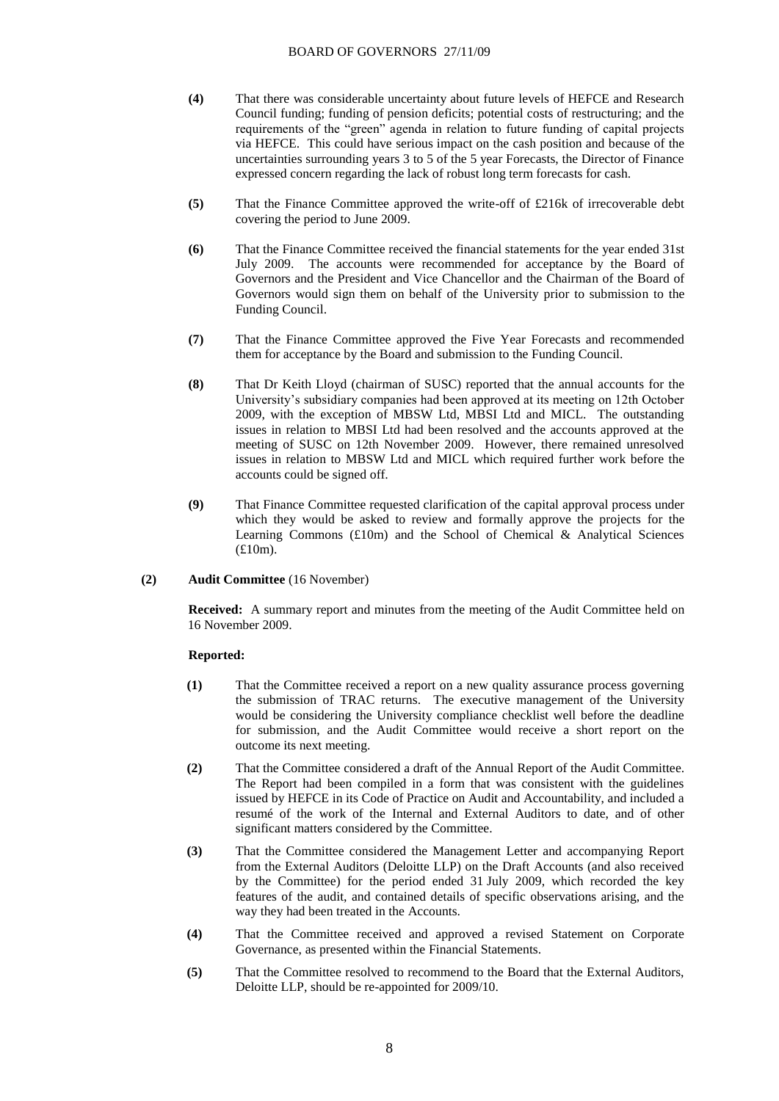- **(4)** That there was considerable uncertainty about future levels of HEFCE and Research Council funding; funding of pension deficits; potential costs of restructuring; and the requirements of the "green" agenda in relation to future funding of capital projects via HEFCE. This could have serious impact on the cash position and because of the uncertainties surrounding years 3 to 5 of the 5 year Forecasts, the Director of Finance expressed concern regarding the lack of robust long term forecasts for cash.
- **(5)** That the Finance Committee approved the write-off of £216k of irrecoverable debt covering the period to June 2009.
- **(6)** That the Finance Committee received the financial statements for the year ended 31st July 2009. The accounts were recommended for acceptance by the Board of Governors and the President and Vice Chancellor and the Chairman of the Board of Governors would sign them on behalf of the University prior to submission to the Funding Council.
- **(7)** That the Finance Committee approved the Five Year Forecasts and recommended them for acceptance by the Board and submission to the Funding Council.
- **(8)** That Dr Keith Lloyd (chairman of SUSC) reported that the annual accounts for the University's subsidiary companies had been approved at its meeting on 12th October 2009, with the exception of MBSW Ltd, MBSI Ltd and MICL. The outstanding issues in relation to MBSI Ltd had been resolved and the accounts approved at the meeting of SUSC on 12th November 2009. However, there remained unresolved issues in relation to MBSW Ltd and MICL which required further work before the accounts could be signed off.
- **(9)** That Finance Committee requested clarification of the capital approval process under which they would be asked to review and formally approve the projects for the Learning Commons (£10m) and the School of Chemical & Analytical Sciences (£10m).
- **(2) Audit Committee** (16 November)

**Received:** A summary report and minutes from the meeting of the Audit Committee held on 16 November 2009.

### **Reported:**

- **(1)** That the Committee received a report on a new quality assurance process governing the submission of TRAC returns. The executive management of the University would be considering the University compliance checklist well before the deadline for submission, and the Audit Committee would receive a short report on the outcome its next meeting.
- **(2)** That the Committee considered a draft of the Annual Report of the Audit Committee. The Report had been compiled in a form that was consistent with the guidelines issued by HEFCE in its Code of Practice on Audit and Accountability, and included a resumé of the work of the Internal and External Auditors to date, and of other significant matters considered by the Committee.
- **(3)** That the Committee considered the Management Letter and accompanying Report from the External Auditors (Deloitte LLP) on the Draft Accounts (and also received by the Committee) for the period ended 31 July 2009, which recorded the key features of the audit, and contained details of specific observations arising, and the way they had been treated in the Accounts.
- **(4)** That the Committee received and approved a revised Statement on Corporate Governance, as presented within the Financial Statements.
- **(5)** That the Committee resolved to recommend to the Board that the External Auditors, Deloitte LLP, should be re-appointed for 2009/10.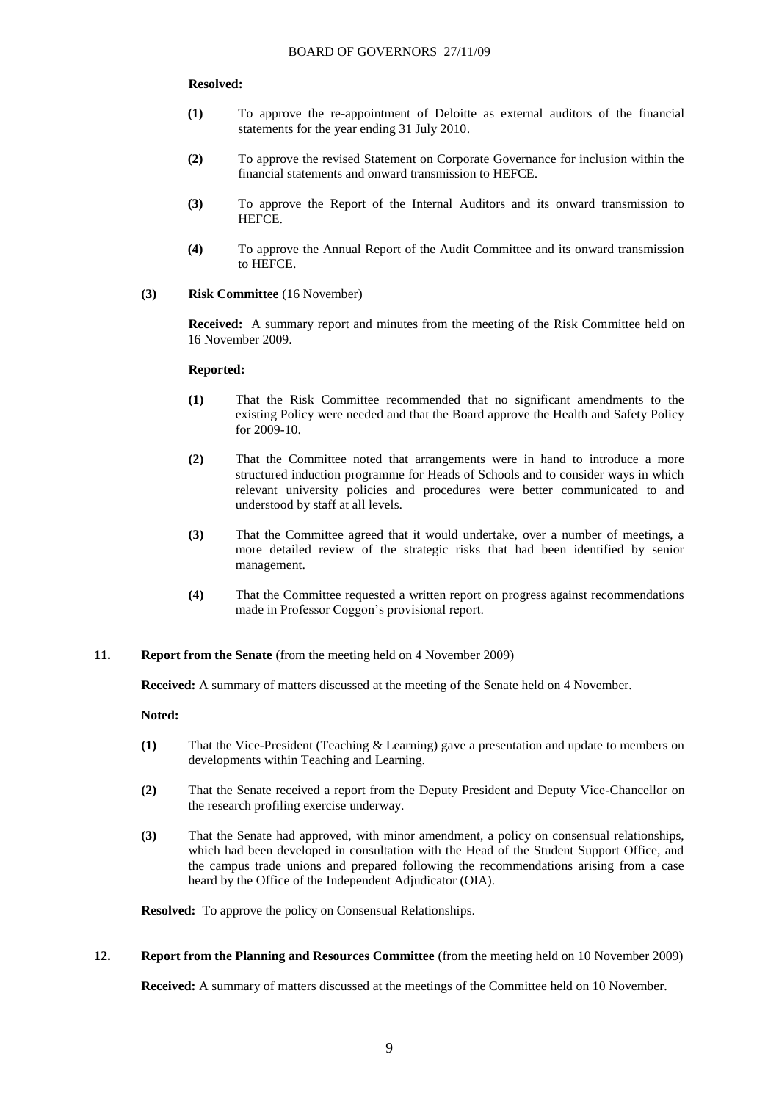### **Resolved:**

- **(1)** To approve the re-appointment of Deloitte as external auditors of the financial statements for the year ending 31 July 2010.
- **(2)** To approve the revised Statement on Corporate Governance for inclusion within the financial statements and onward transmission to HEFCE.
- **(3)** To approve the Report of the Internal Auditors and its onward transmission to HEFCE.
- **(4)** To approve the Annual Report of the Audit Committee and its onward transmission to HEFCE.
- **(3) Risk Committee** (16 November)

**Received:** A summary report and minutes from the meeting of the Risk Committee held on 16 November 2009.

### **Reported:**

- **(1)** That the Risk Committee recommended that no significant amendments to the existing Policy were needed and that the Board approve the Health and Safety Policy for 2009-10.
- **(2)** That the Committee noted that arrangements were in hand to introduce a more structured induction programme for Heads of Schools and to consider ways in which relevant university policies and procedures were better communicated to and understood by staff at all levels.
- **(3)** That the Committee agreed that it would undertake, over a number of meetings, a more detailed review of the strategic risks that had been identified by senior management.
- **(4)** That the Committee requested a written report on progress against recommendations made in Professor Coggon's provisional report.
- **11. Report from the Senate** (from the meeting held on 4 November 2009)

**Received:** A summary of matters discussed at the meeting of the Senate held on 4 November.

**Noted:**

- **(1)** That the Vice-President (Teaching & Learning) gave a presentation and update to members on developments within Teaching and Learning.
- **(2)** That the Senate received a report from the Deputy President and Deputy Vice-Chancellor on the research profiling exercise underway.
- **(3)** That the Senate had approved, with minor amendment, a policy on consensual relationships, which had been developed in consultation with the Head of the Student Support Office, and the campus trade unions and prepared following the recommendations arising from a case heard by the Office of the Independent Adjudicator (OIA).

**Resolved:** To approve the policy on Consensual Relationships.

**12. Report from the Planning and Resources Committee** (from the meeting held on 10 November 2009)

**Received:** A summary of matters discussed at the meetings of the Committee held on 10 November.